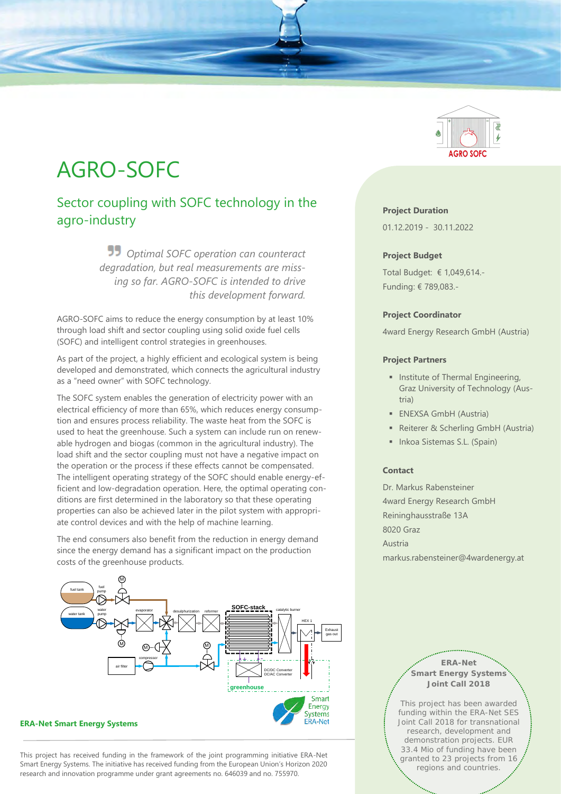# AGRO-SOFC

# Sector coupling with SOFC technology in the agro-industry

*Optimal SOFC operation can counteract degradation, but real measurements are missing so far. AGRO-SOFC is intended to drive this development forward.*

AGRO-SOFC aims to reduce the energy consumption by at least 10% through load shift and sector coupling using solid oxide fuel cells (SOFC) and intelligent control strategies in greenhouses.

As part of the project, a highly efficient and ecological system is being developed and demonstrated, which connects the agricultural industry as a "need owner" with SOFC technology.

The SOFC system enables the generation of electricity power with an electrical efficiency of more than 65%, which reduces energy consumption and ensures process reliability. The waste heat from the SOFC is used to heat the greenhouse. Such a system can include run on renewable hydrogen and biogas (common in the agricultural industry). The load shift and the sector coupling must not have a negative impact on the operation or the process if these effects cannot be compensated. The intelligent operating strategy of the SOFC should enable energy-efficient and low-degradation operation. Here, the optimal operating conditions are first determined in the laboratory so that these operating properties can also be achieved later in the pilot system with appropriate control devices and with the help of machine learning.

The end consumers also benefit from the reduction in energy demand since the energy demand has a significant impact on the production costs of the greenhouse products.



This project has received funding in the framework of the joint programming initiative ERA-Net Smart Energy Systems. The initiative has received funding from the European Union's Horizon 2020 research and innovation programme under grant agreements no. 646039 and no. 755970.



#### **Project Duration**

01.12.2019 - 30.11.2022

#### **Project Budget**

Total Budget: € 1,049,614.- Funding: € 789,083.-

## **Project Coordinator**

4ward Energy Research GmbH (Austria)

#### **Project Partners**

- **■** Institute of Thermal Engineering, Graz University of Technology (Austria)
- **ENEXSA GmbH (Austria)**
- Reiterer & Scherling GmbH (Austria)
- Inkoa Sistemas S.L. (Spain)

#### **Contact**

Dr. Markus Rabensteiner 4ward Energy Research GmbH Reininghausstraße 13A 8020 Graz Austria markus.rabensteiner@4wardenergy.at

> **ERA-Net Smart Energy Systems Joint Call 2018**

This project has been awarded funding within the ERA-Net SES Joint Call 2018 for transnational research, development and demonstration projects. EUR 33.4 Mio of funding have been granted to 23 projects from 16 regions and countries.